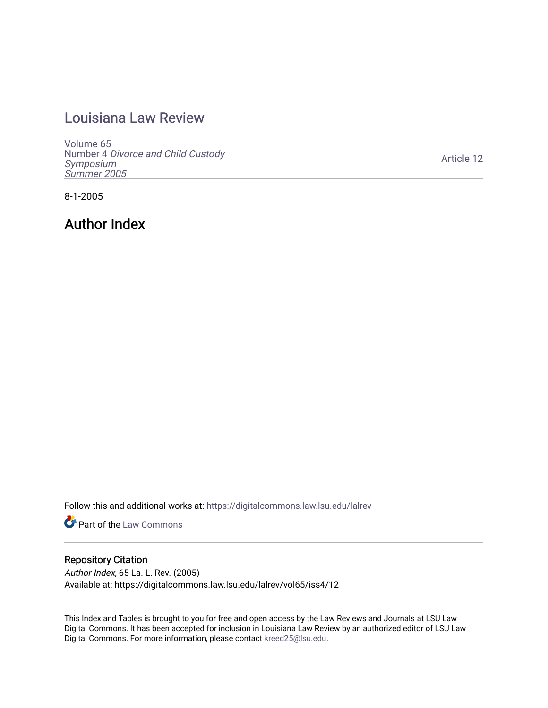# [Louisiana Law Review](https://digitalcommons.law.lsu.edu/lalrev)

[Volume 65](https://digitalcommons.law.lsu.edu/lalrev/vol65) Number 4 [Divorce and Child Custody](https://digitalcommons.law.lsu.edu/lalrev/vol65/iss4)  [Symposium](https://digitalcommons.law.lsu.edu/lalrev/vol65/iss4)  [Summer 2005](https://digitalcommons.law.lsu.edu/lalrev/vol65/iss4) 

[Article 12](https://digitalcommons.law.lsu.edu/lalrev/vol65/iss4/12) 

8-1-2005

Author Index

Follow this and additional works at: [https://digitalcommons.law.lsu.edu/lalrev](https://digitalcommons.law.lsu.edu/lalrev?utm_source=digitalcommons.law.lsu.edu%2Flalrev%2Fvol65%2Fiss4%2F12&utm_medium=PDF&utm_campaign=PDFCoverPages)

**Part of the [Law Commons](https://network.bepress.com/hgg/discipline/578?utm_source=digitalcommons.law.lsu.edu%2Flalrev%2Fvol65%2Fiss4%2F12&utm_medium=PDF&utm_campaign=PDFCoverPages)** 

# Repository Citation

Author Index, 65 La. L. Rev. (2005) Available at: https://digitalcommons.law.lsu.edu/lalrev/vol65/iss4/12

This Index and Tables is brought to you for free and open access by the Law Reviews and Journals at LSU Law Digital Commons. It has been accepted for inclusion in Louisiana Law Review by an authorized editor of LSU Law Digital Commons. For more information, please contact [kreed25@lsu.edu.](mailto:kreed25@lsu.edu)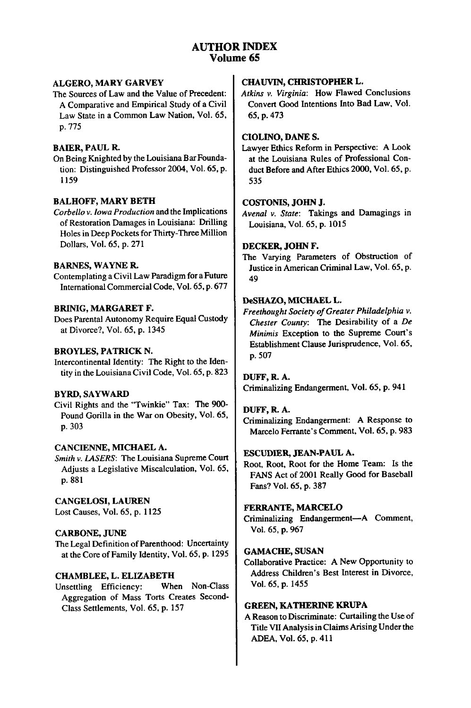# **AUTHOR INDEX Volume 65**

#### **ALGERO, MARY GARVEY**

The Sources of Law and the Value of Precedent: **A** Comparative and Empirical Study of a Civil Law State in a Common Law Nation, Vol. **65, p. 775** 

# **BAILER, PAUL R.**

On Being Knighted **by** the Louisiana BarFoundation: Distinguished Professor 2004, Vol. **65, p. 1159** 

# **BALHOFF, MARY BETH**

*Corbellov. Iowa Production*and the Implications of Restoration Damages in Louisiana: Drilling Holes in Deep Pockets for Thirty-Three Million Dollars, Vol. 65, p. 271

#### **BARNES, WAYNE R.**

Contemplating a Civil Law Paradigm for a Future<br>International Commercial Code, Vol. 65, p. 677

#### **BRINIG, MARGARET F.**

Does Parental Autonomy Require Equal Custody at Divorce?, Vol. **65, p.** 1345

#### BROYLES, PATRICK **N.**

Intercontinental Identity: The Right to the Identity in the Louisiana Civil Code, Vol. 65, **p. 823** 

#### BYRD, SAYWARD

Civil Rights and the "Twinkie" Tax: The 900- Pound Gorilla in the War on Obesity, Vol. 65, p. 303

# **CANCIENNE, MICHAEL A.**

*Smith v. LASERS:* The Louisiana Supreme Court Adjusts a Legislative Miscalculation, Vol. **65, p. 881** 

**CANGELOSI,LAUREN**  Lost Causes, Vol. 65, **p. 1125** 

# **CARBONE, JUNE**

The Legal Definition of Parenthood: Uncertainty at the Core of Family Identity, Vol. **65, p. 1295** 

# **CHAMBLEE,** L. **ELIZABETH**

Unsettling Efficiency: When Non-Class Aggregation of Mass Torts Creates Second-Class Settlements, Vol. **65, p. 157** 

#### **CHAUVIN, CHRISTOPHER L.**

*Atkins v. Virginia:* How Flawed Conclusions Convert Good Intentions Into Bad Law, Vol. **65, p.** 473

#### **CIOLINO, DANE S.**

Lawyer Ethics Reform in Perspective: **A** Look at the Louisiana Rules of Professional Conduct Before and After Ethics 2000, Vol. 65, p. 535

#### **COSTONIS, JOHN J.**

*Avenal v. State:* Takings and Damagings in Louisiana, Vol. **65, p. 1015** 

#### DECKER, **JOHN** F.

The Varying Parameters of Obstruction of Justice in American Criminal Law, Vol. **65, p.**  49

# **DeSHAZO, MICHAEL L.**

Freethought Society of Greater Philadelphia v. *Chester County:* The Desirability of a *De Minimis* Exception to the Supreme Court's Establishment Clause Jurisprudence, Vol. **65, p. 507** 

**DUFF, R. A.**  Criminalizing Endangerment, Vol. **65, p.** 941

# **DUFF, R. A.**

Criminalizing Endangerment: **A** Response to Marcelo Ferrante's Comment, Vol. 65, **p. 983** 

#### **ESCUDIER, JEAN-PAUL A.**

Root, Root, Root for the Home Team: Is the **FANS** Act of 2001 Really Good for Baseball Fans? Vol. 65, **p. 387** 

#### FERRANTE, **MARCELO**

Criminalizing Endangerment-A Comment, Vol. 65, **p. 967** 

#### **GAMACHE, SUSAN**

Collaborative Practice: **A** New Opportunity to Address Children's Best Interest in Divorce, Vol. **65, p.** 1455

# **GREEN, KATHERINE KRUPA**

**A** Reason to Discriminate: Curtailing the Use of Title VII Analysis in Claims Arising Under the **p.** 1 1 **ADEA,** Vol. **65,** <sup>4</sup>